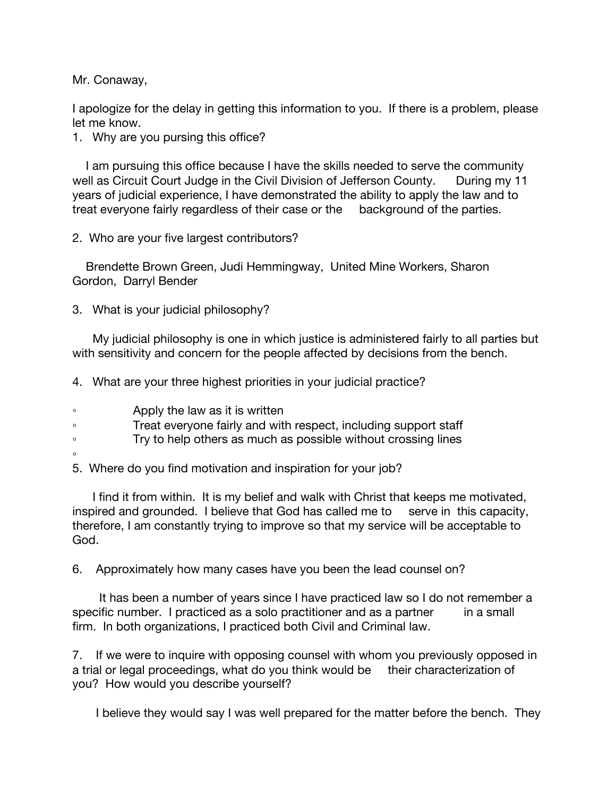Mr. Conaway,

I apologize for the delay in getting this information to you. If there is a problem, please let me know.

1. Why are you pursing this office?

 I am pursuing this office because I have the skills needed to serve the community well as Circuit Court Judge in the Civil Division of Jefferson County. During my 11 years of judicial experience, I have demonstrated the ability to apply the law and to treat everyone fairly regardless of their case or the background of the parties.

2. Who are your five largest contributors?

 Brendette Brown Green, Judi Hemmingway, United Mine Workers, Sharon Gordon, Darryl Bender

3. What is your judicial philosophy?

 My judicial philosophy is one in which justice is administered fairly to all parties but with sensitivity and concern for the people affected by decisions from the bench.

4. What are your three highest priorities in your judicial practice?

◦ Apply the law as it is written

◦ Treat everyone fairly and with respect, including support staff

◦ Try to help others as much as possible without crossing lines

◦

5. Where do you find motivation and inspiration for your job?

 I find it from within. It is my belief and walk with Christ that keeps me motivated, inspired and grounded. I believe that God has called me to serve in this capacity, therefore, I am constantly trying to improve so that my service will be acceptable to God.

6. Approximately how many cases have you been the lead counsel on?

 It has been a number of years since I have practiced law so I do not remember a specific number. I practiced as a solo practitioner and as a partner in a small firm. In both organizations, I practiced both Civil and Criminal law.

7. If we were to inquire with opposing counsel with whom you previously opposed in a trial or legal proceedings, what do you think would be their characterization of you? How would you describe yourself?

I believe they would say I was well prepared for the matter before the bench. They